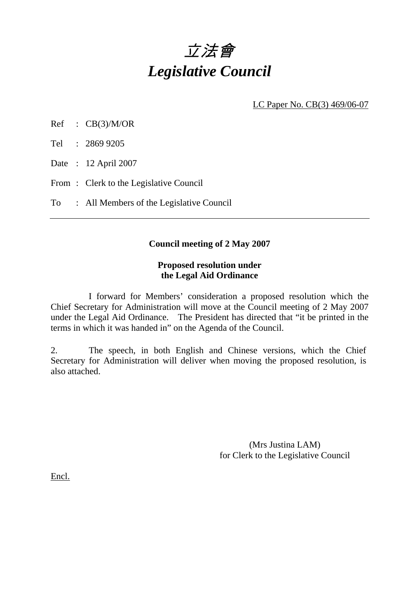# 立法會 *Legislative Council*

LC Paper No. CB(3) 469/06-07

Ref : CB(3)/M/OR

Tel : 2869 9205

Date : 12 April 2007

From: Clerk to the Legislative Council

To : All Members of the Legislative Council

### **Council meeting of 2 May 2007**

#### **Proposed resolution under the Legal Aid Ordinance**

 I forward for Members' consideration a proposed resolution which the Chief Secretary for Administration will move at the Council meeting of 2 May 2007 under the Legal Aid Ordinance. The President has directed that "it be printed in the terms in which it was handed in" on the Agenda of the Council.

2. The speech, in both English and Chinese versions, which the Chief Secretary for Administration will deliver when moving the proposed resolution, is also attached.

> (Mrs Justina LAM) for Clerk to the Legislative Council

Encl.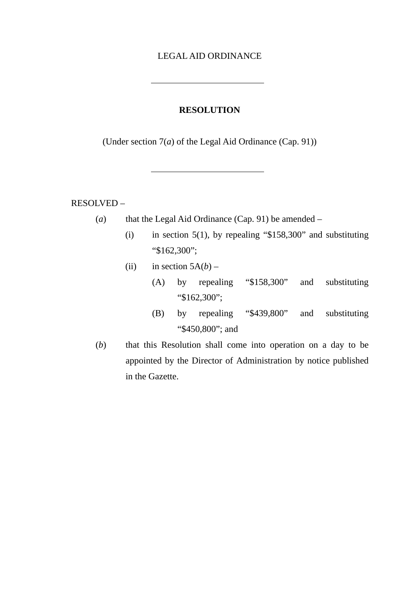#### LEGAL AID ORDINANCE

#### **RESOLUTION**

(Under section 7(*a*) of the Legal Aid Ordinance (Cap. 91))

RESOLVED –

(*a*) that the Legal Aid Ordinance (Cap. 91) be amended –

- (i) in section 5(1), by repealing " $$158,300$ " and substituting "\$162,300";
- (ii) in section  $5A(b)$ 
	- (A) by repealing "\$158,300" and substituting "\$162,300";
	- (B) by repealing "\$439,800" and substituting "\$450,800"; and
- (*b*) that this Resolution shall come into operation on a day to be appointed by the Director of Administration by notice published in the Gazette.